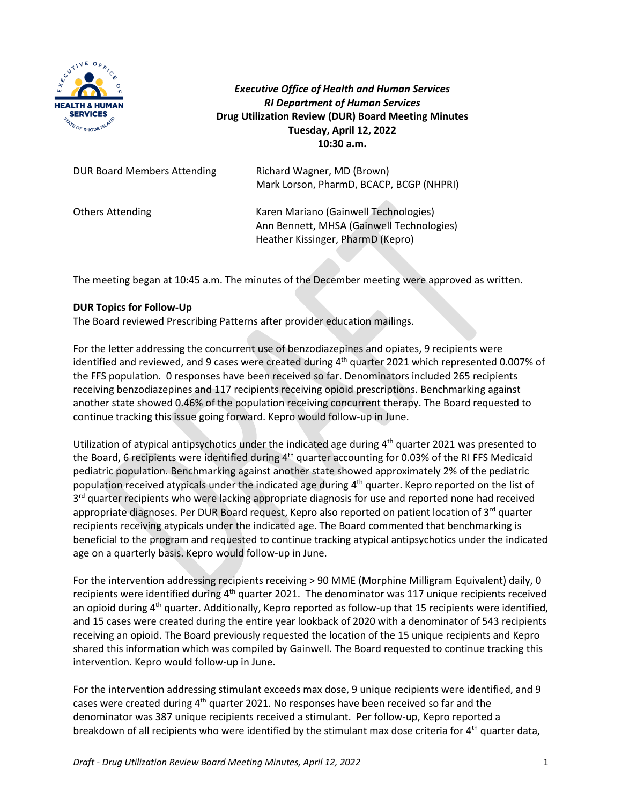

*Executive Office of Health and Human Services RI Department of Human Services* **Drug Utilization Review (DUR) Board Meeting Minutes Tuesday, April 12, 2022 10:30 a.m.**

| <b>DUR Board Members Attending</b> | Richard Wagner, MD (Brown)<br>Mark Lorson, PharmD, BCACP, BCGP (NHPRI)                                                  |
|------------------------------------|-------------------------------------------------------------------------------------------------------------------------|
| <b>Others Attending</b>            | Karen Mariano (Gainwell Technologies)<br>Ann Bennett, MHSA (Gainwell Technologies)<br>Heather Kissinger, PharmD (Kepro) |

The meeting began at 10:45 a.m. The minutes of the December meeting were approved as written.

### **DUR Topics for Follow-Up**

The Board reviewed Prescribing Patterns after provider education mailings.

For the letter addressing the concurrent use of benzodiazepines and opiates, 9 recipients were identified and reviewed, and 9 cases were created during  $4<sup>th</sup>$  quarter 2021 which represented 0.007% of the FFS population. 0 responses have been received so far. Denominators included 265 recipients receiving benzodiazepines and 117 recipients receiving opioid prescriptions. Benchmarking against another state showed 0.46% of the population receiving concurrent therapy. The Board requested to continue tracking this issue going forward. Kepro would follow-up in June.

Utilization of atypical antipsychotics under the indicated age during  $4<sup>th</sup>$  quarter 2021 was presented to the Board, 6 recipients were identified during  $4<sup>th</sup>$  quarter accounting for 0.03% of the RI FFS Medicaid pediatric population. Benchmarking against another state showed approximately 2% of the pediatric population received atypicals under the indicated age during 4<sup>th</sup> quarter. Kepro reported on the list of  $3<sup>rd</sup>$  quarter recipients who were lacking appropriate diagnosis for use and reported none had received appropriate diagnoses. Per DUR Board request, Kepro also reported on patient location of  $3<sup>rd</sup>$  quarter recipients receiving atypicals under the indicated age. The Board commented that benchmarking is beneficial to the program and requested to continue tracking atypical antipsychotics under the indicated age on a quarterly basis. Kepro would follow-up in June.

For the intervention addressing recipients receiving > 90 MME (Morphine Milligram Equivalent) daily, 0 recipients were identified during 4<sup>th</sup> quarter 2021. The denominator was 117 unique recipients received an opioid during 4<sup>th</sup> quarter. Additionally, Kepro reported as follow-up that 15 recipients were identified, and 15 cases were created during the entire year lookback of 2020 with a denominator of 543 recipients receiving an opioid. The Board previously requested the location of the 15 unique recipients and Kepro shared this information which was compiled by Gainwell. The Board requested to continue tracking this intervention. Kepro would follow-up in June.

For the intervention addressing stimulant exceeds max dose, 9 unique recipients were identified, and 9 cases were created during  $4<sup>th</sup>$  quarter 2021. No responses have been received so far and the denominator was 387 unique recipients received a stimulant. Per follow-up, Kepro reported a breakdown of all recipients who were identified by the stimulant max dose criteria for 4<sup>th</sup> quarter data,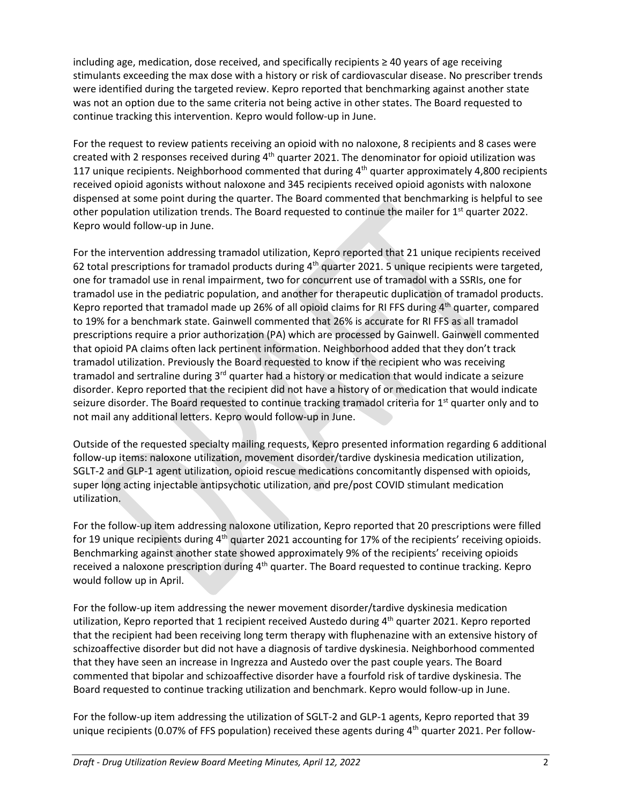including age, medication, dose received, and specifically recipients ≥ 40 years of age receiving stimulants exceeding the max dose with a history or risk of cardiovascular disease. No prescriber trends were identified during the targeted review. Kepro reported that benchmarking against another state was not an option due to the same criteria not being active in other states. The Board requested to continue tracking this intervention. Kepro would follow-up in June.

For the request to review patients receiving an opioid with no naloxone, 8 recipients and 8 cases were created with 2 responses received during  $4<sup>th</sup>$  quarter 2021. The denominator for opioid utilization was 117 unique recipients. Neighborhood commented that during  $4<sup>th</sup>$  quarter approximately 4,800 recipients received opioid agonists without naloxone and 345 recipients received opioid agonists with naloxone dispensed at some point during the quarter. The Board commented that benchmarking is helpful to see other population utilization trends. The Board requested to continue the mailer for  $1<sup>st</sup>$  quarter 2022. Kepro would follow-up in June.

For the intervention addressing tramadol utilization, Kepro reported that 21 unique recipients received 62 total prescriptions for tramadol products during  $4<sup>th</sup>$  quarter 2021. 5 unique recipients were targeted, one for tramadol use in renal impairment, two for concurrent use of tramadol with a SSRIs, one for tramadol use in the pediatric population, and another for therapeutic duplication of tramadol products. Kepro reported that tramadol made up 26% of all opioid claims for RI FFS during  $4<sup>th</sup>$  quarter, compared to 19% for a benchmark state. Gainwell commented that 26% is accurate for RI FFS as all tramadol prescriptions require a prior authorization (PA) which are processed by Gainwell. Gainwell commented that opioid PA claims often lack pertinent information. Neighborhood added that they don't track tramadol utilization. Previously the Board requested to know if the recipient who was receiving tramadol and sertraline during 3<sup>rd</sup> quarter had a history or medication that would indicate a seizure disorder. Kepro reported that the recipient did not have a history of or medication that would indicate seizure disorder. The Board requested to continue tracking tramadol criteria for  $1<sup>st</sup>$  quarter only and to not mail any additional letters. Kepro would follow-up in June.

Outside of the requested specialty mailing requests, Kepro presented information regarding 6 additional follow-up items: naloxone utilization, movement disorder/tardive dyskinesia medication utilization, SGLT-2 and GLP-1 agent utilization, opioid rescue medications concomitantly dispensed with opioids, super long acting injectable antipsychotic utilization, and pre/post COVID stimulant medication utilization.

For the follow-up item addressing naloxone utilization, Kepro reported that 20 prescriptions were filled for 19 unique recipients during  $4<sup>th</sup>$  quarter 2021 accounting for 17% of the recipients' receiving opioids. Benchmarking against another state showed approximately 9% of the recipients' receiving opioids received a naloxone prescription during  $4<sup>th</sup>$  quarter. The Board requested to continue tracking. Kepro would follow up in April.

For the follow-up item addressing the newer movement disorder/tardive dyskinesia medication utilization, Kepro reported that 1 recipient received Austedo during 4<sup>th</sup> quarter 2021. Kepro reported that the recipient had been receiving long term therapy with fluphenazine with an extensive history of schizoaffective disorder but did not have a diagnosis of tardive dyskinesia. Neighborhood commented that they have seen an increase in Ingrezza and Austedo over the past couple years. The Board commented that bipolar and schizoaffective disorder have a fourfold risk of tardive dyskinesia. The Board requested to continue tracking utilization and benchmark. Kepro would follow-up in June.

For the follow-up item addressing the utilization of SGLT-2 and GLP-1 agents, Kepro reported that 39 unique recipients (0.07% of FFS population) received these agents during  $4<sup>th</sup>$  quarter 2021. Per follow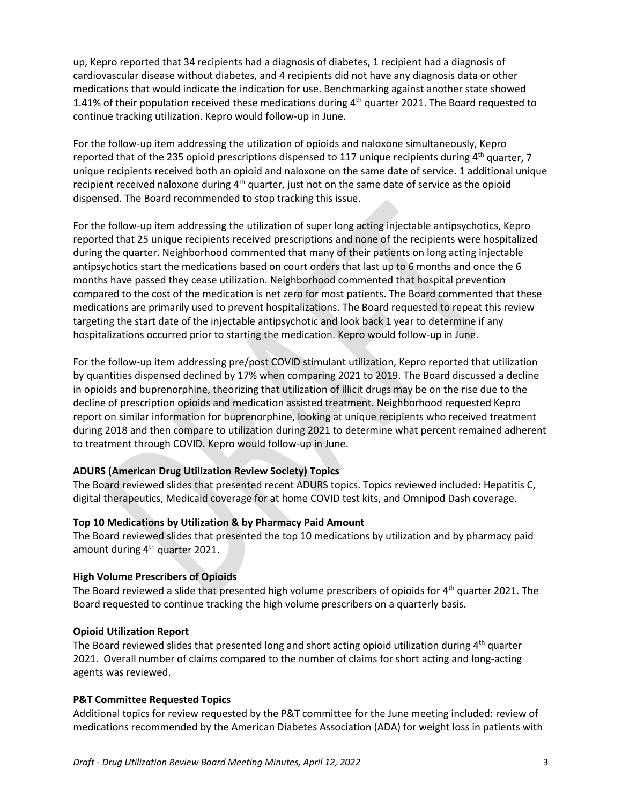up, Kepro reported that 34 recipients had a diagnosis of diabetes, 1 recipient had a diagnosis of cardiovascular disease without diabetes, and 4 recipients did not have any diagnosis data or other medications that would indicate the indication for use. Benchmarking against another state showed 1.41% of their population received these medications during 4<sup>th</sup> quarter 2021. The Board requested to continue tracking utilization. Kepro would follow-up in June.

For the follow-up item addressing the utilization of opioids and naloxone simultaneously, Kepro reported that of the 235 opioid prescriptions dispensed to 117 unique recipients during  $4<sup>th</sup>$  quarter, 7 unique recipients received both an opioid and naloxone on the same date of service. 1 additional unique recipient received naloxone during 4<sup>th</sup> quarter, just not on the same date of service as the opioid dispensed. The Board recommended to stop tracking this issue.

For the follow-up item addressing the utilization of super long acting injectable antipsychotics, Kepro reported that 25 unique recipients received prescriptions and none of the recipients were hospitalized during the quarter. Neighborhood commented that many of their patients on long acting injectable antipsychotics start the medications based on court orders that last up to 6 months and once the 6 months have passed they cease utilization. Neighborhood commented that hospital prevention compared to the cost of the medication is net zero for most patients. The Board commented that these medications are primarily used to prevent hospitalizations. The Board requested to repeat this review targeting the start date of the injectable antipsychotic and look back 1 year to determine if any hospitalizations occurred prior to starting the medication. Kepro would follow-up in June.

For the follow-up item addressing pre/post COVID stimulant utilization, Kepro reported that utilization by quantities dispensed declined by 17% when comparing 2021 to 2019. The Board discussed a decline in opioids and buprenorphine, theorizing that utilization of illicit drugs may be on the rise due to the decline of prescription opioids and medication assisted treatment. Neighborhood requested Kepro report on similar information for buprenorphine, looking at unique recipients who received treatment during 2018 and then compare to utilization during 2021 to determine what percent remained adherent to treatment through COVID. Kepro would follow-up in June.

## **ADURS (American Drug Utilization Review Society) Topics**

The Board reviewed slides that presented recent ADURS topics. Topics reviewed included: Hepatitis C, digital therapeutics, Medicaid coverage for at home COVID test kits, and Omnipod Dash coverage.

### **Top 10 Medications by Utilization & by Pharmacy Paid Amount**

The Board reviewed slides that presented the top 10 medications by utilization and by pharmacy paid amount during 4<sup>th</sup> quarter 2021.

### **High Volume Prescribers of Opioids**

The Board reviewed a slide that presented high volume prescribers of opioids for 4<sup>th</sup> quarter 2021. The Board requested to continue tracking the high volume prescribers on a quarterly basis.

### **Opioid Utilization Report**

The Board reviewed slides that presented long and short acting opioid utilization during  $4<sup>th</sup>$  quarter 2021. Overall number of claims compared to the number of claims for short acting and long-acting agents was reviewed.

### **P&T Committee Requested Topics**

Additional topics for review requested by the P&T committee for the June meeting included: review of medications recommended by the American Diabetes Association (ADA) for weight loss in patients with